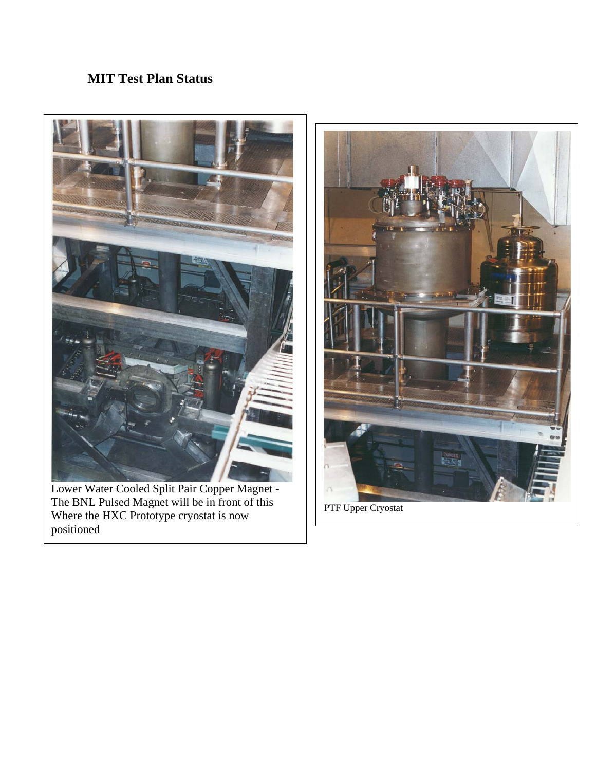### **MIT Test Plan Status**



Lower Water Cooled Split Pair Copper Magnet - The BNL Pulsed Magnet will be in front of this Where the HXC Prototype cryostat is now positioned



PTF Upper Cryostat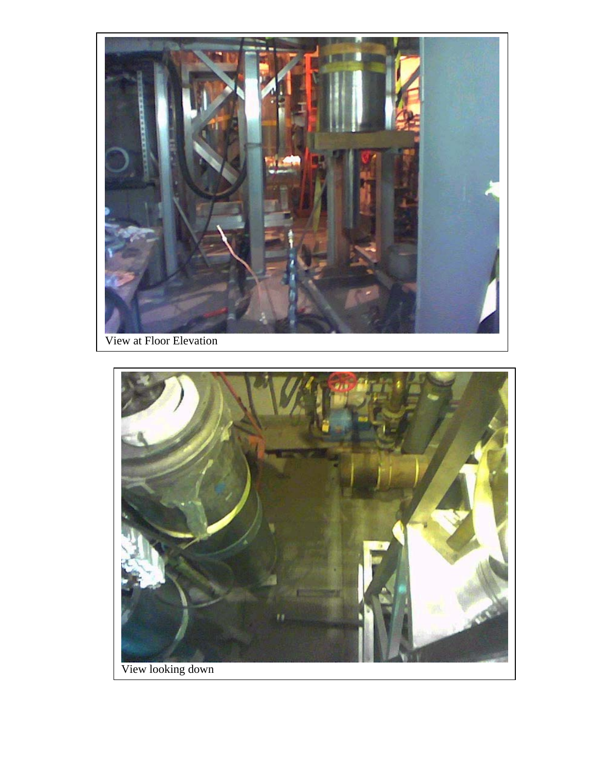

View at Floor Elevation

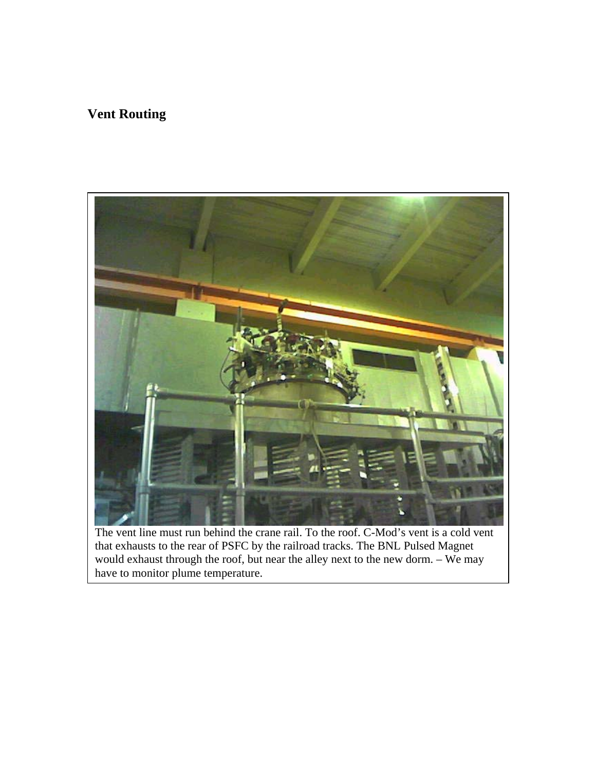# **Vent Routing**



The vent line must run behind the crane rail. To the roof. C-Mod's vent is a cold vent that exhausts to the rear of PSFC by the railroad tracks. The BNL Pulsed Magnet would exhaust through the roof, but near the alley next to the new dorm. – We may have to monitor plume temperature.